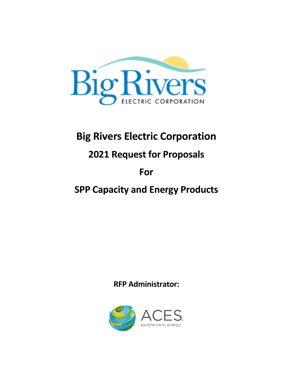

# **Big Rivers Electric Corporation**

# **2021 Request for Proposals**

# **For**

# **SPP Capacity and Energy Products**

# **RFP Administrator:**

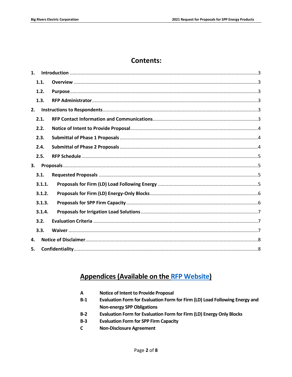## **Contents:**

| 1. |        |  |
|----|--------|--|
|    | 1.1.   |  |
|    | 1.2.   |  |
|    | 1.3.   |  |
| 2. |        |  |
|    | 2.1.   |  |
|    | 2.2.   |  |
|    | 2.3.   |  |
|    | 2.4.   |  |
|    | 2.5.   |  |
|    |        |  |
| 3. |        |  |
|    | 3.1.   |  |
|    | 3.1.1. |  |
|    | 3.1.2. |  |
|    | 3.1.3. |  |
|    | 3.1.4. |  |
|    | 3.2.   |  |
|    | 3.3.   |  |
| 4. |        |  |

## **Appendices (Available on the RFP Website)**

| <b>Notice of Intent to Provide Proposal</b><br>A |  |
|--------------------------------------------------|--|
|--------------------------------------------------|--|

- $B-1$ Evaluation Form for Evaluation Form for Firm (LD) Load Following Energy and **Non-energy SPP Obligations**
- $B-2$ Evaluation Form for Evaluation Form for Firm (LD) Energy Only Blocks
- $B-3$ **Evaluation Form for SPP Firm Capacity**
- $\mathbf{C}$ **Non-Disclosure Agreement**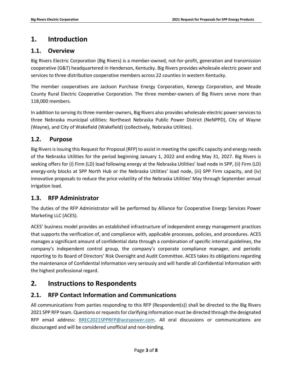## <span id="page-2-0"></span>**1. Introduction**

#### <span id="page-2-1"></span>**1.1. Overview**

Big Rivers Electric Corporation (Big Rivers) is a member-owned, not-for-profit, generation and transmission cooperative (G&T) headquartered in Henderson, Kentucky. Big Rivers provides wholesale electric power and services to three distribution cooperative members across 22 counties in western Kentucky.

The member cooperatives are Jackson Purchase Energy Corporation, Kenergy Corporation, and Meade County Rural Electric Cooperative Corporation. The three member-owners of Big Rivers serve more than 118,000 members.

In addition to serving its three member-owners, Big Rivers also provides wholesale electric power services to three Nebraska municipal utilities: Northeast Nebraska Public Power District (NeNPPD), City of Wayne (Wayne), and City of Wakefield (Wakefield) (collectively, Nebraska Utilities).

#### <span id="page-2-2"></span>**1.2. Purpose**

Big Rivers is issuing this Request for Proposal (RFP) to assist in meeting the specific capacity and energy needs of the Nebraska Utilities for the period beginning January 1, 2022 and ending May 31, 2027. Big Rivers is seeking offers for (i) Firm (LD) load following energy at the Nebraska Utilities' load node in SPP, (ii) Firm (LD) energy-only blocks at SPP North Hub or the Nebraska Utilities' load node, (iii) SPP Firm capacity, and (iv) innovative proposals to reduce the price volatility of the Nebraska Utilities' May through September annual irrigation load.

### <span id="page-2-3"></span>**1.3. RFP Administrator**

The duties of the RFP Administrator will be performed by Alliance for Cooperative Energy Services Power Marketing LLC (ACES).

ACES' business model provides an established infrastructure of independent energy management practices that supports the verification of, and compliance with, applicable processes, policies, and procedures. ACES manages a significant amount of confidential data through a combination of specific internal guidelines, the company's independent control group, the company's corporate compliance manager, and periodic reporting to its Board of Directors' Risk Oversight and Audit Committee. ACES takes its obligations regarding the maintenance of Confidential Information very seriously and will handle all Confidential Information with the highest professional regard.

## <span id="page-2-4"></span>**2. Instructions to Respondents**

### <span id="page-2-5"></span>**2.1. RFP Contact Information and Communications**

All communications from parties responding to this RFP (Respondent(s)) shall be directed to the Big Rivers 2021 SPP RFP team. Questions or requests for clarifying information must be directed through the designated RFP email address: [BREC2021SPPRFP@acespower.com.](mailto:BREC2021SPPRFP@acespower.com) All oral discussions or communications are discouraged and will be considered unofficial and non-binding.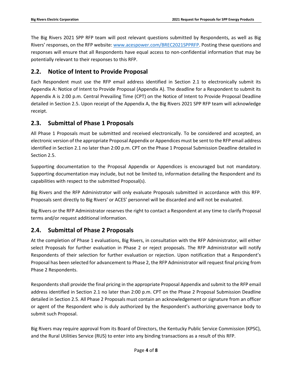The Big Rivers 2021 SPP RFP team will post relevant questions submitted by Respondents, as well as Big Rivers' responses, on the RFP website[: www.acespower.com/BREC2021SPPRFP](http://www.acespower.com/BREC2021SPPRF). Posting these questions and responses will ensure that all Respondents have equal access to non-confidential information that may be potentially relevant to their responses to this RFP.

### <span id="page-3-0"></span>**2.2. Notice of Intent to Provide Proposal**

Each Respondent must use the RFP email address identified in Section 2.1 to electronically submit its Appendix A: Notice of Intent to Provide Proposal (Appendix A). The deadline for a Respondent to submit its Appendix A is 2:00 p.m. Central Prevailing Time (CPT) on the Notice of Intent to Provide Proposal Deadline detailed in Section 2.5. Upon receipt of the Appendix A, the Big Rivers 2021 SPP RFP team will acknowledge receipt.

#### <span id="page-3-1"></span>**2.3. Submittal of Phase 1 Proposals**

All Phase 1 Proposals must be submitted and received electronically. To be considered and accepted, an electronic version of the appropriate Proposal Appendix or Appendices must be sent to the RFP email address identified in Section 2.1 no later than 2:00 p.m. CPT on the Phase 1 Proposal Submission Deadline detailed in Section 2.5.

Supporting documentation to the Proposal Appendix or Appendices is encouraged but not mandatory. Supporting documentation may include, but not be limited to, information detailing the Respondent and its capabilities with respect to the submitted Proposal(s).

Big Rivers and the RFP Administrator will only evaluate Proposals submitted in accordance with this RFP. Proposals sent directly to Big Rivers' or ACES' personnel will be discarded and will not be evaluated.

Big Rivers or the RFP Administrator reserves the right to contact a Respondent at any time to clarify Proposal terms and/or request additional information.

### <span id="page-3-2"></span>**2.4. Submittal of Phase 2 Proposals**

At the completion of Phase 1 evaluations, Big Rivers, in consultation with the RFP Administrator, will either select Proposals for further evaluation in Phase 2 or reject proposals. The RFP Administrator will notify Respondents of their selection for further evaluation or rejection. Upon notification that a Respondent's Proposal has been selected for advancement to Phase 2, the RFP Administrator will request final pricing from Phase 2 Respondents.

Respondents shall provide the final pricing in the appropriate Proposal Appendix and submit to the RFP email address identified in Section 2.1 no later than 2:00 p.m. CPT on the Phase 2 Proposal Submission Deadline detailed in Section 2.5. All Phase 2 Proposals must contain an acknowledgement or signature from an officer or agent of the Respondent who is duly authorized by the Respondent's authorizing governance body to submit such Proposal.

Big Rivers may require approval from its Board of Directors, the Kentucky Public Service Commission (KPSC), and the Rural Utilities Service (RUS) to enter into any binding transactions as a result of this RFP.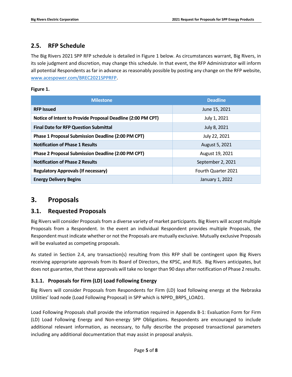#### <span id="page-4-0"></span>**2.5. RFP Schedule**

The Big Rivers 2021 SPP RFP schedule is detailed in Figure 1 below. As circumstances warrant, Big Rivers, in its sole judgment and discretion, may change this schedule. In that event, the RFP Administrator will inform all potential Respondents as far in advance as reasonably possible by posting any change on the RFP website, [www.acespower.com/BREC2021SPPRFP.](http://www.acespower.com/BREC2021SPPRFP)

#### **Figure 1.**

| <b>Milestone</b>                                            | <b>Deadline</b>            |
|-------------------------------------------------------------|----------------------------|
| <b>RFP Issued</b>                                           | June 15, 2021              |
| Notice of Intent to Provide Proposal Deadline (2:00 PM CPT) | July 1, 2021               |
| <b>Final Date for RFP Question Submittal</b>                | July 8, 2021               |
| <b>Phase 1 Proposal Submission Deadline (2:00 PM CPT)</b>   | July 22, 2021              |
| <b>Notification of Phase 1 Results</b>                      | August 5, 2021             |
| Phase 2 Proposal Submission Deadline (2:00 PM CPT)          | August 19, 2021            |
| <b>Notification of Phase 2 Results</b>                      | September 2, 2021          |
| <b>Regulatory Approvals (If necessary)</b>                  | <b>Fourth Quarter 2021</b> |
| <b>Energy Delivery Begins</b>                               | January 1, 2022            |

## <span id="page-4-1"></span>**3. Proposals**

#### <span id="page-4-2"></span>**3.1. Requested Proposals**

Big Rivers will consider Proposals from a diverse variety of market participants. Big Rivers will accept multiple Proposals from a Respondent. In the event an individual Respondent provides multiple Proposals, the Respondent must indicate whether or not the Proposals are mutually exclusive. Mutually exclusive Proposals will be evaluated as competing proposals.

As stated in Section 2.4, any transaction(s) resulting from this RFP shall be contingent upon Big Rivers receiving appropriate approvals from its Board of Directors, the KPSC, and RUS. Big Rivers anticipates, but does not guarantee, that these approvals will take no longer than 90 days after notification of Phase 2 results.

#### <span id="page-4-3"></span>**3.1.1. Proposals for Firm (LD) Load Following Energy**

Big Rivers will consider Proposals from Respondents for Firm (LD) load following energy at the Nebraska Utilities' load node (Load Following Proposal) in SPP which is NPPD\_BRPS\_LOAD1.

Load Following Proposals shall provide the information required in Appendix B-1: Evaluation Form for Firm (LD) Load Following Energy and Non-energy SPP Obligations. Respondents are encouraged to include additional relevant information, as necessary, to fully describe the proposed transactional parameters including any additional documentation that may assist in proposal analysis.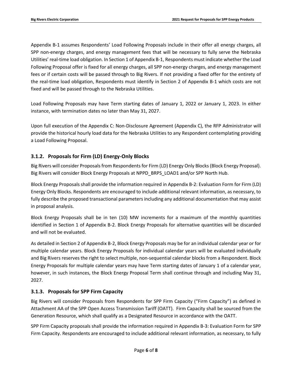Appendix B-1 assumes Respondents' Load Following Proposals include in their offer all energy charges, all SPP non-energy charges, and energy management fees that will be necessary to fully serve the Nebraska Utilities' real-time load obligation. In Section 1 of Appendix B-1, Respondents must indicate whether the Load Following Proposal offer is fixed for all energy charges, all SPP non-energy charges, and energy management fees or if certain costs will be passed through to Big Rivers. If not providing a fixed offer for the entirety of the real-time load obligation, Respondents must identify in Section 2 of Appendix B-1 which costs are not fixed and will be passed through to the Nebraska Utilities.

Load Following Proposals may have Term starting dates of January 1, 2022 or January 1, 2023. In either instance, with termination dates no later than May 31, 2027.

Upon full execution of the Appendix C: Non-Disclosure Agreement (Appendix C), the RFP Administrator will provide the historical hourly load data for the Nebraska Utilities to any Respondent contemplating providing a Load Following Proposal.

#### <span id="page-5-0"></span>**3.1.2. Proposals for Firm (LD) Energy-Only Blocks**

Big Rivers will consider Proposals from Respondents for Firm (LD) Energy Only Blocks (Block Energy Proposal). Big Rivers will consider Block Energy Proposals at NPPD\_BRPS\_LOAD1 and/or SPP North Hub.

Block Energy Proposals shall provide the information required in Appendix B-2: Evaluation Form for Firm (LD) Energy Only Blocks. Respondents are encouraged to include additional relevant information, as necessary, to fully describe the proposed transactional parameters including any additional documentation that may assist in proposal analysis.

Block Energy Proposals shall be in ten (10) MW increments for a maximum of the monthly quantities identified in Section 1 of Appendix B-2. Block Energy Proposals for alternative quantities will be discarded and will not be evaluated.

As detailed in Section 2 of Appendix B-2, Block Energy Proposals may be for an individual calendar year or for multiple calendar years. Block Energy Proposals for individual calendar years will be evaluated individually and Big Rivers reserves the right to select multiple, non-sequential calendar blocks from a Respondent. Block Energy Proposals for multiple calendar years may have Term starting dates of January 1 of a calendar year, however, in such instances, the Block Energy Proposal Term shall continue through and including May 31, 2027.

#### <span id="page-5-1"></span>**3.1.3. Proposals for SPP Firm Capacity**

Big Rivers will consider Proposals from Respondents for SPP Firm Capacity ("Firm Capacity") as defined in Attachment AA of the SPP Open Access Transmission Tariff (OATT). Firm Capacity shall be sourced from the Generation Resource, which shall qualify as a Designated Resource in accordance with the OATT.

SPP Firm Capacity proposals shall provide the information required in Appendix B-3: Evaluation Form for SPP Firm Capacity. Respondents are encouraged to include additional relevant information, as necessary, to fully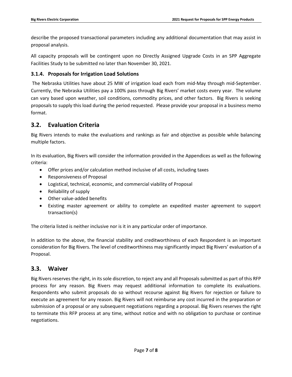describe the proposed transactional parameters including any additional documentation that may assist in proposal analysis.

All capacity proposals will be contingent upon no Directly Assigned Upgrade Costs in an SPP Aggregate Facilities Study to be submitted no later than November 30, 2021.

#### <span id="page-6-0"></span>**3.1.4. Proposals for Irrigation Load Solutions**

The Nebraska Utilities have about 25 MW of irrigation load each from mid-May through mid-September. Currently, the Nebraska Utilities pay a 100% pass through Big Rivers' market costs every year. The volume can vary based upon weather, soil conditions, commodity prices, and other factors. Big Rivers is seeking proposals to supply this load during the period requested. Please provide your proposal in a business memo format.

#### <span id="page-6-1"></span>**3.2. Evaluation Criteria**

Big Rivers intends to make the evaluations and rankings as fair and objective as possible while balancing multiple factors.

In its evaluation, Big Rivers will consider the information provided in the Appendices as well as the following criteria:

- Offer prices and/or calculation method inclusive of all costs, including taxes
- Responsiveness of Proposal
- Logistical, technical, economic, and commercial viability of Proposal
- Reliability of supply
- Other value-added benefits
- Existing master agreement or ability to complete an expedited master agreement to support transaction(s)

The criteria listed is neither inclusive nor is it in any particular order of importance.

In addition to the above, the financial stability and creditworthiness of each Respondent is an important consideration for Big Rivers. The level of creditworthiness may significantly impact Big Rivers' evaluation of a Proposal.

#### <span id="page-6-2"></span>**3.3. Waiver**

Big Rivers reserves the right, in its sole discretion, to reject any and all Proposals submitted as part of this RFP process for any reason. Big Rivers may request additional information to complete its evaluations. Respondents who submit proposals do so without recourse against Big Rivers for rejection or failure to execute an agreement for any reason. Big Rivers will not reimburse any cost incurred in the preparation or submission of a proposal or any subsequent negotiations regarding a proposal. Big Rivers reserves the right to terminate this RFP process at any time, without notice and with no obligation to purchase or continue negotiations.